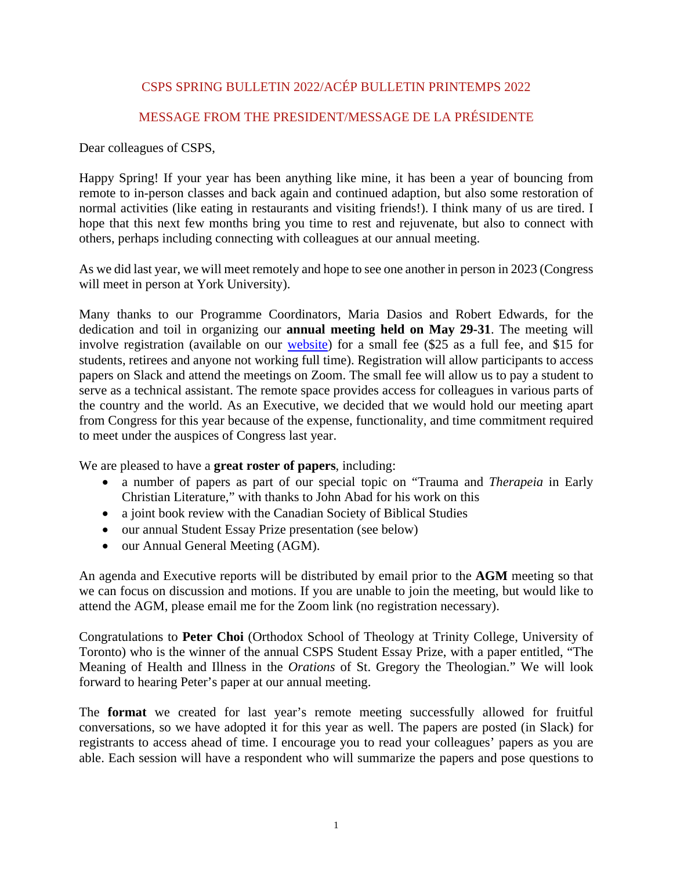# CSPS SPRING BULLETIN 2022/ACÉP BULLETIN PRINTEMPS 2022

# MESSAGE FROM THE PRESIDENT/MESSAGE DE LA PRÉSIDENTE

Dear colleagues of CSPS,

Happy Spring! If your year has been anything like mine, it has been a year of bouncing from remote to in-person classes and back again and continued adaption, but also some restoration of normal activities (like eating in restaurants and visiting friends!). I think many of us are tired. I hope that this next few months bring you time to rest and rejuvenate, but also to connect with others, perhaps including connecting with colleagues at our annual meeting.

As we did last year, we will meet remotely and hope to see one another in person in 2023 (Congress will meet in person at York University).

Many thanks to our Programme Coordinators, Maria Dasios and Robert Edwards, for the dedication and toil in organizing our **annual meeting held on May 29-31**. The meeting will involve registration (available on our [website\)](https://cspsacep.ca/reunion-meeting/) for a small fee (\$25 as a full fee, and \$15 for students, retirees and anyone not working full time). Registration will allow participants to access papers on Slack and attend the meetings on Zoom. The small fee will allow us to pay a student to serve as a technical assistant. The remote space provides access for colleagues in various parts of the country and the world. As an Executive, we decided that we would hold our meeting apart from Congress for this year because of the expense, functionality, and time commitment required to meet under the auspices of Congress last year.

We are pleased to have a **great roster of papers**, including:

- a number of papers as part of our special topic on "Trauma and *Therapeia* in Early Christian Literature," with thanks to John Abad for his work on this
- a joint book review with the Canadian Society of Biblical Studies
- our annual Student Essay Prize presentation (see below)
- our Annual General Meeting (AGM).

An agenda and Executive reports will be distributed by email prior to the **AGM** meeting so that we can focus on discussion and motions. If you are unable to join the meeting, but would like to attend the AGM, please email me for the Zoom link (no registration necessary).

Congratulations to **Peter Choi** (Orthodox School of Theology at Trinity College, University of Toronto) who is the winner of the annual CSPS Student Essay Prize, with a paper entitled, "The Meaning of Health and Illness in the *Orations* of St. Gregory the Theologian." We will look forward to hearing Peter's paper at our annual meeting.

The **format** we created for last year's remote meeting successfully allowed for fruitful conversations, so we have adopted it for this year as well. The papers are posted (in Slack) for registrants to access ahead of time. I encourage you to read your colleagues' papers as you are able. Each session will have a respondent who will summarize the papers and pose questions to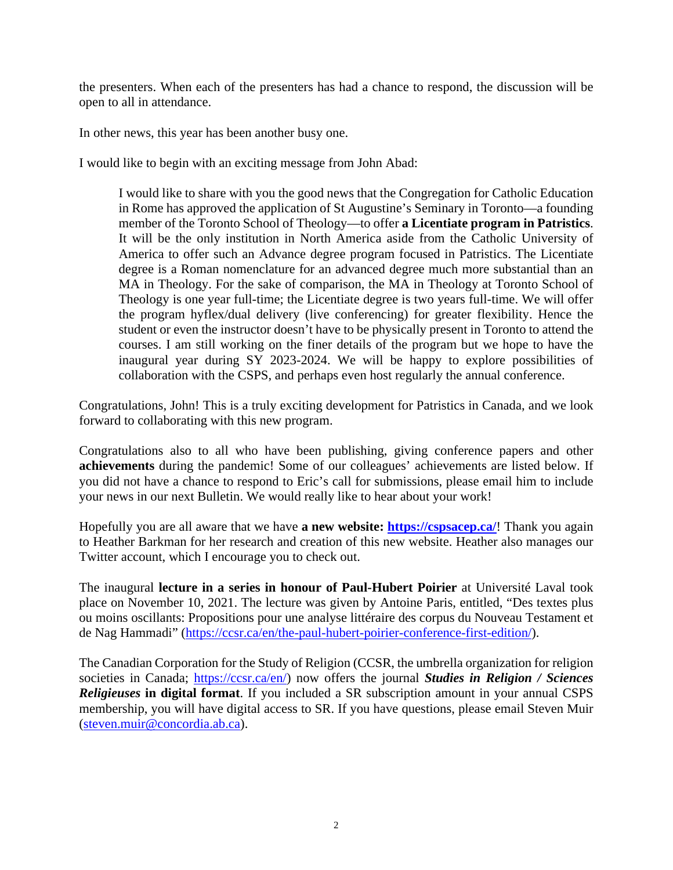the presenters. When each of the presenters has had a chance to respond, the discussion will be open to all in attendance.

In other news, this year has been another busy one.

I would like to begin with an exciting message from John Abad:

I would like to share with you the good news that the Congregation for Catholic Education in Rome has approved the application of St Augustine's Seminary in Toronto—a founding member of the Toronto School of Theology—to offer **a Licentiate program in Patristics**. It will be the only institution in North America aside from the Catholic University of America to offer such an Advance degree program focused in Patristics. The Licentiate degree is a Roman nomenclature for an advanced degree much more substantial than an MA in Theology. For the sake of comparison, the MA in Theology at Toronto School of Theology is one year full-time; the Licentiate degree is two years full-time. We will offer the program hyflex/dual delivery (live conferencing) for greater flexibility. Hence the student or even the instructor doesn't have to be physically present in Toronto to attend the courses. I am still working on the finer details of the program but we hope to have the inaugural year during SY 2023-2024. We will be happy to explore possibilities of collaboration with the CSPS, and perhaps even host regularly the annual conference.

Congratulations, John! This is a truly exciting development for Patristics in Canada, and we look forward to collaborating with this new program.

Congratulations also to all who have been publishing, giving conference papers and other **achievements** during the pandemic! Some of our colleagues' achievements are listed below. If you did not have a chance to respond to Eric's call for submissions, please email him to include your news in our next Bulletin. We would really like to hear about your work!

Hopefully you are all aware that we have **a new website:<https://cspsacep.ca/>**! Thank you again to Heather Barkman for her research and creation of this new website. Heather also manages our Twitter account, which I encourage you to check out.

The inaugural **lecture in a series in honour of Paul-Hubert Poirier** at Université Laval took place on November 10, 2021. The lecture was given by Antoine Paris, entitled, "Des textes plus ou moins oscillants: Propositions pour une analyse littéraire des corpus du Nouveau Testament et de Nag Hammadi" [\(https://ccsr.ca/en/the-paul-hubert-poirier-conference-first-edition/\)](https://ccsr.ca/en/the-paul-hubert-poirier-conference-first-edition/).

The Canadian Corporation for the Study of Religion (CCSR, the umbrella organization for religion societies in Canada; [https://ccsr.ca/en/\)](https://ccsr.ca/en/) now offers the journal *Studies in Religion / Sciences Religieuses* **in digital format**. If you included a SR subscription amount in your annual CSPS membership, you will have digital access to SR. If you have questions, please email Steven Muir [\(steven.muir@concordia.ab.ca\)](mailto:steven.muir@concordia.ab.ca).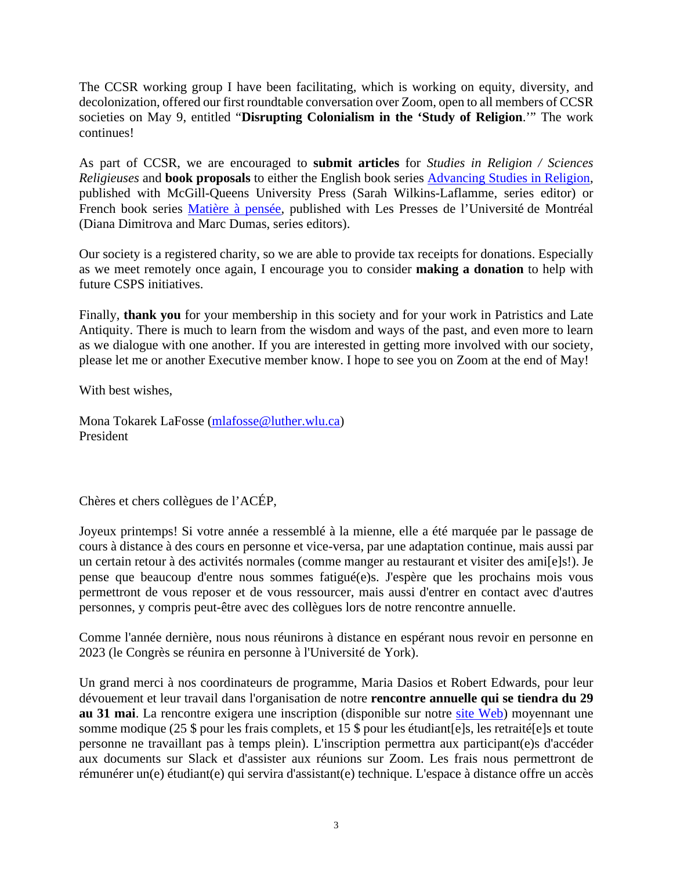The CCSR working group I have been facilitating, which is working on equity, diversity, and decolonization, offered our first roundtable conversation over Zoom, open to all members of CCSR societies on May 9, entitled "**Disrupting Colonialism in the 'Study of Religion**.'" The work continues!

As part of CCSR, we are encouraged to **submit articles** for *Studies in Religion / Sciences Religieuses* and **book proposals** to either the English book series [Advancing Studies in Religion,](http://www.mqup.ca/our-series-pages-178.php) published with McGill-Queens University Press (Sarah Wilkins-Laflamme, series editor) or French book series [Matière à pensée,](https://www.pum.umontreal.ca/collections/matiere-a-pensee/) published with Les Presses de l'Université de Montréal (Diana Dimitrova and Marc Dumas, series editors).

Our society is a registered charity, so we are able to provide tax receipts for donations. Especially as we meet remotely once again, I encourage you to consider **making a donation** to help with future CSPS initiatives.

Finally, **thank you** for your membership in this society and for your work in Patristics and Late Antiquity. There is much to learn from the wisdom and ways of the past, and even more to learn as we dialogue with one another. If you are interested in getting more involved with our society, please let me or another Executive member know. I hope to see you on Zoom at the end of May!

With best wishes,

Mona Tokarek LaFosse [\(mlafosse@luther.wlu.ca\)](mailto:mlafosse@luther.wlu.ca) President

Chères et chers collègues de l'ACÉP,

Joyeux printemps! Si votre année a ressemblé à la mienne, elle a été marquée par le passage de cours à distance à des cours en personne et vice-versa, par une adaptation continue, mais aussi par un certain retour à des activités normales (comme manger au restaurant et visiter des ami[e]s!). Je pense que beaucoup d'entre nous sommes fatigué(e)s. J'espère que les prochains mois vous permettront de vous reposer et de vous ressourcer, mais aussi d'entrer en contact avec d'autres personnes, y compris peut-être avec des collègues lors de notre rencontre annuelle.

Comme l'année dernière, nous nous réunirons à distance en espérant nous revoir en personne en 2023 (le Congrès se réunira en personne à l'Université de York).

Un grand merci à nos coordinateurs de programme, Maria Dasios et Robert Edwards, pour leur dévouement et leur travail dans l'organisation de notre **rencontre annuelle qui se tiendra du 29 au 31 mai**. La rencontre exigera une inscription (disponible sur notre [site Web\)](https://cspsacep.ca/reunion-meeting/) moyennant une somme modique (25 \$ pour les frais complets, et 15 \$ pour les étudiant[e]s, les retraité[e]s et toute personne ne travaillant pas à temps plein). L'inscription permettra aux participant(e)s d'accéder aux documents sur Slack et d'assister aux réunions sur Zoom. Les frais nous permettront de rémunérer un(e) étudiant(e) qui servira d'assistant(e) technique. L'espace à distance offre un accès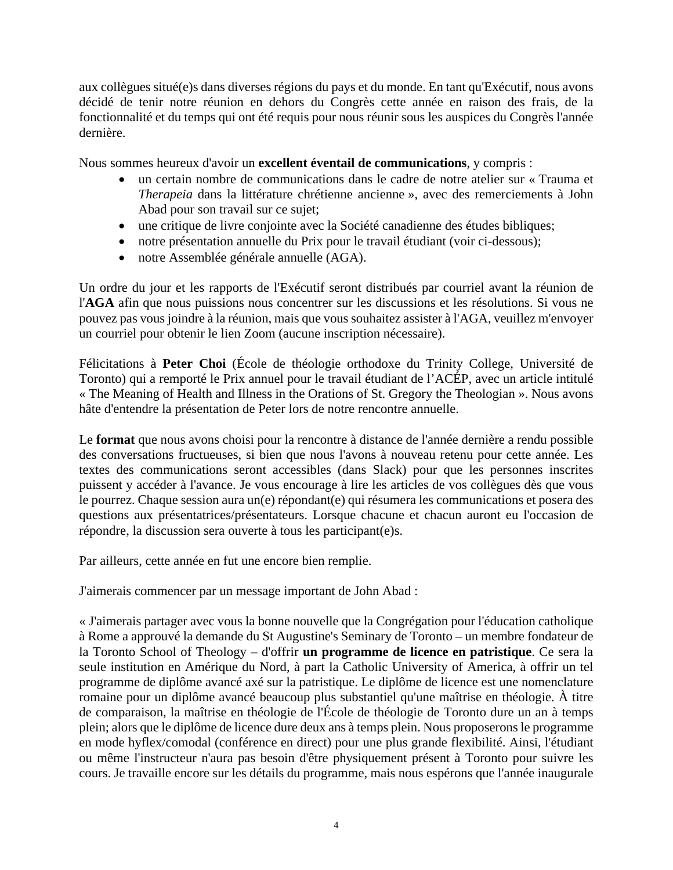aux collègues situé(e)s dans diverses régions du pays et du monde. En tant qu'Exécutif, nous avons décidé de tenir notre réunion en dehors du Congrès cette année en raison des frais, de la fonctionnalité et du temps qui ont été requis pour nous réunir sous les auspices du Congrès l'année dernière.

Nous sommes heureux d'avoir un **excellent éventail de communications**, y compris :

- un certain nombre de communications dans le cadre de notre atelier sur « Trauma et *Therapeia* dans la littérature chrétienne ancienne », avec des remerciements à John Abad pour son travail sur ce sujet;
- une critique de livre conjointe avec la Société canadienne des études bibliques;
- notre présentation annuelle du Prix pour le travail étudiant (voir ci-dessous);
- notre Assemblée générale annuelle (AGA).

Un ordre du jour et les rapports de l'Exécutif seront distribués par courriel avant la réunion de l'**AGA** afin que nous puissions nous concentrer sur les discussions et les résolutions. Si vous ne pouvez pas vous joindre à la réunion, mais que vous souhaitez assister à l'AGA, veuillez m'envoyer un courriel pour obtenir le lien Zoom (aucune inscription nécessaire).

Félicitations à **Peter Choi** (École de théologie orthodoxe du Trinity College, Université de Toronto) qui a remporté le Prix annuel pour le travail étudiant de l'ACÉP, avec un article intitulé « The Meaning of Health and Illness in the Orations of St. Gregory the Theologian ». Nous avons hâte d'entendre la présentation de Peter lors de notre rencontre annuelle.

Le **format** que nous avons choisi pour la rencontre à distance de l'année dernière a rendu possible des conversations fructueuses, si bien que nous l'avons à nouveau retenu pour cette année. Les textes des communications seront accessibles (dans Slack) pour que les personnes inscrites puissent y accéder à l'avance. Je vous encourage à lire les articles de vos collègues dès que vous le pourrez. Chaque session aura un(e) répondant(e) qui résumera les communications et posera des questions aux présentatrices/présentateurs. Lorsque chacune et chacun auront eu l'occasion de répondre, la discussion sera ouverte à tous les participant(e)s.

Par ailleurs, cette année en fut une encore bien remplie.

J'aimerais commencer par un message important de John Abad :

« J'aimerais partager avec vous la bonne nouvelle que la Congrégation pour l'éducation catholique à Rome a approuvé la demande du St Augustine's Seminary de Toronto – un membre fondateur de la Toronto School of Theology – d'offrir **un programme de licence en patristique**. Ce sera la seule institution en Amérique du Nord, à part la Catholic University of America, à offrir un tel programme de diplôme avancé axé sur la patristique. Le diplôme de licence est une nomenclature romaine pour un diplôme avancé beaucoup plus substantiel qu'une maîtrise en théologie. À titre de comparaison, la maîtrise en théologie de l'École de théologie de Toronto dure un an à temps plein; alors que le diplôme de licence dure deux ans à temps plein. Nous proposerons le programme en mode hyflex/comodal (conférence en direct) pour une plus grande flexibilité. Ainsi, l'étudiant ou même l'instructeur n'aura pas besoin d'être physiquement présent à Toronto pour suivre les cours. Je travaille encore sur les détails du programme, mais nous espérons que l'année inaugurale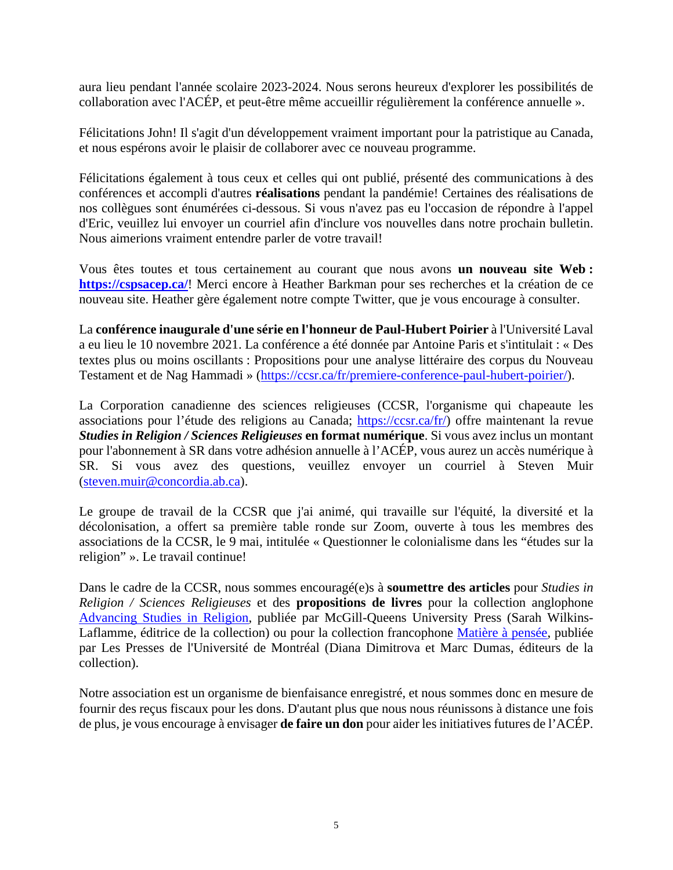aura lieu pendant l'année scolaire 2023-2024. Nous serons heureux d'explorer les possibilités de collaboration avec l'ACÉP, et peut-être même accueillir régulièrement la conférence annuelle ».

Félicitations John! Il s'agit d'un développement vraiment important pour la patristique au Canada, et nous espérons avoir le plaisir de collaborer avec ce nouveau programme.

Félicitations également à tous ceux et celles qui ont publié, présenté des communications à des conférences et accompli d'autres **réalisations** pendant la pandémie! Certaines des réalisations de nos collègues sont énumérées ci-dessous. Si vous n'avez pas eu l'occasion de répondre à l'appel d'Eric, veuillez lui envoyer un courriel afin d'inclure vos nouvelles dans notre prochain bulletin. Nous aimerions vraiment entendre parler de votre travail!

Vous êtes toutes et tous certainement au courant que nous avons **un nouveau site Web : <https://cspsacep.ca/>**! Merci encore à Heather Barkman pour ses recherches et la création de ce nouveau site. Heather gère également notre compte Twitter, que je vous encourage à consulter.

La **conférence inaugurale d'une série en l'honneur de Paul-Hubert Poirier** à l'Université Laval a eu lieu le 10 novembre 2021. La conférence a été donnée par Antoine Paris et s'intitulait : « Des textes plus ou moins oscillants : Propositions pour une analyse littéraire des corpus du Nouveau Testament et de Nag Hammadi » [\(https://ccsr.ca/fr/premiere-conference-paul-hubert-poirier/\)](https://ccsr.ca/fr/premiere-conference-paul-hubert-poirier/).

La Corporation canadienne des sciences religieuses (CCSR, l'organisme qui chapeaute les associations pour l'étude des religions au Canada; [https://ccsr.ca/fr/\)](https://ccsr.ca/fr/) offre maintenant la revue *Studies in Religion / Sciences Religieuses* **en format numérique**. Si vous avez inclus un montant pour l'abonnement à SR dans votre adhésion annuelle à l'ACÉP, vous aurez un accès numérique à SR. Si vous avez des questions, veuillez envoyer un courriel à Steven Muir [\(steven.muir@concordia.ab.ca\)](mailto:steven.muir@concordia.ab.ca).

Le groupe de travail de la CCSR que j'ai animé, qui travaille sur l'équité, la diversité et la décolonisation, a offert sa première table ronde sur Zoom, ouverte à tous les membres des associations de la CCSR, le 9 mai, intitulée « Questionner le colonialisme dans les "études sur la religion" ». Le travail continue!

Dans le cadre de la CCSR, nous sommes encouragé(e)s à **soumettre des articles** pour *Studies in Religion / Sciences Religieuses* et des **propositions de livres** pour la collection anglophone [Advancing Studies in Religion,](http://www.mqup.ca/our-series-pages-178.php) publiée par McGill-Queens University Press (Sarah Wilkins-Laflamme, éditrice de la collection) ou pour la collection francophone [Matière à pensée,](https://www.pum.umontreal.ca/collections/matiere-a-pensee/) publiée par Les Presses de l'Université de Montréal (Diana Dimitrova et Marc Dumas, éditeurs de la collection).

Notre association est un organisme de bienfaisance enregistré, et nous sommes donc en mesure de fournir des reçus fiscaux pour les dons. D'autant plus que nous nous réunissons à distance une fois de plus, je vous encourage à envisager **de faire un don** pour aider les initiatives futures de l'ACÉP.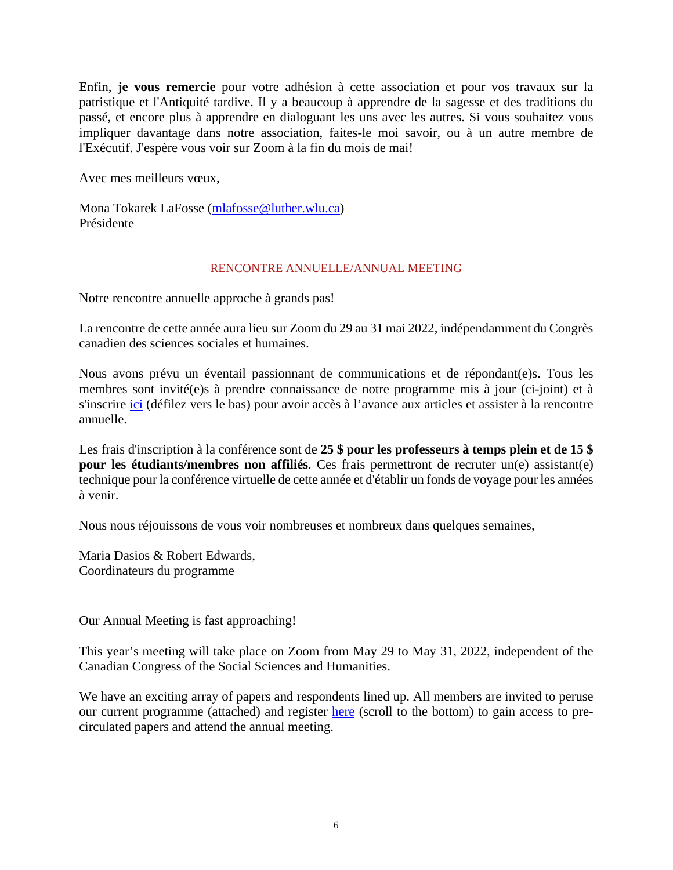Enfin, **je vous remercie** pour votre adhésion à cette association et pour vos travaux sur la patristique et l'Antiquité tardive. Il y a beaucoup à apprendre de la sagesse et des traditions du passé, et encore plus à apprendre en dialoguant les uns avec les autres. Si vous souhaitez vous impliquer davantage dans notre association, faites-le moi savoir, ou à un autre membre de l'Exécutif. J'espère vous voir sur Zoom à la fin du mois de mai!

Avec mes meilleurs vœux,

Mona Tokarek LaFosse [\(mlafosse@luther.wlu.ca\)](mailto:mlafosse@luther.wlu.ca) Présidente

#### RENCONTRE ANNUELLE/ANNUAL MEETING

Notre rencontre annuelle approche à grands pas!

La rencontre de cette année aura lieu sur Zoom du 29 au 31 mai 2022, indépendamment du Congrès canadien des sciences sociales et humaines.

Nous avons prévu un éventail passionnant de communications et de répondant(e)s. Tous les membres sont invité(e)s à prendre connaissance de notre programme mis à jour (ci-joint) et à s'inscrire [ici](https://cspsacep.ca/reunion-meeting/) (défilez vers le bas) pour avoir accès à l'avance aux articles et assister à la rencontre annuelle.

Les frais d'inscription à la conférence sont de **25 \$ pour les professeurs à temps plein et de 15 \$ pour les étudiants/membres non affiliés**. Ces frais permettront de recruter un(e) assistant(e) technique pour la conférence virtuelle de cette année et d'établir un fonds de voyage pour les années à venir.

Nous nous réjouissons de vous voir nombreuses et nombreux dans quelques semaines,

Maria Dasios & Robert Edwards, Coordinateurs du programme

Our Annual Meeting is fast approaching!

This year's meeting will take place on Zoom from May 29 to May 31, 2022, independent of the Canadian Congress of the Social Sciences and Humanities.

We have an exciting array of papers and respondents lined up. All members are invited to peruse our current programme (attached) and register [here](https://cspsacep.ca/reunion-meeting/) (scroll to the bottom) to gain access to precirculated papers and attend the annual meeting.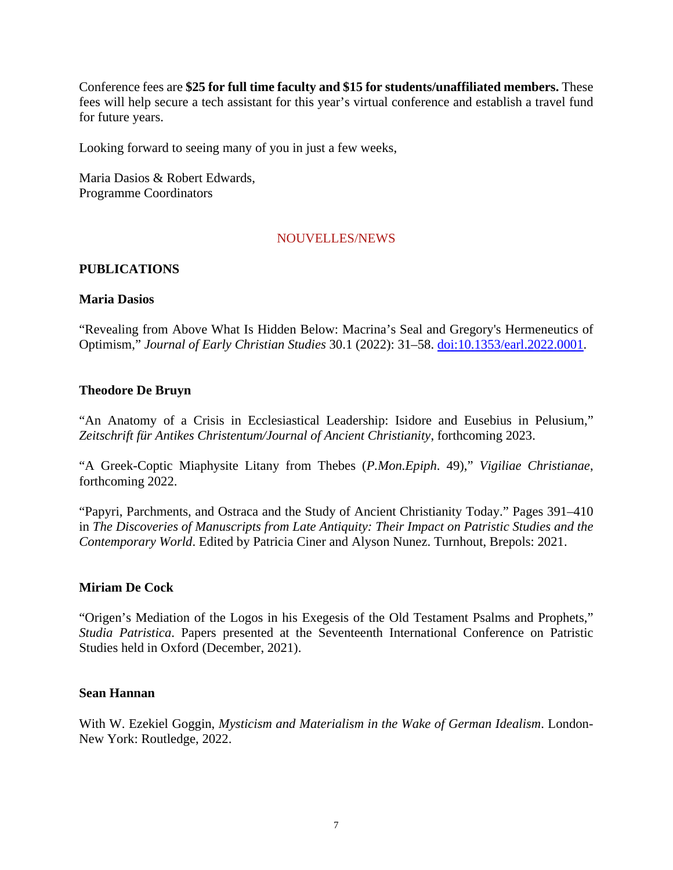Conference fees are **\$25 for full time faculty and \$15 for students/unaffiliated members.** These fees will help secure a tech assistant for this year's virtual conference and establish a travel fund for future years.

Looking forward to seeing many of you in just a few weeks,

Maria Dasios & Robert Edwards, Programme Coordinators

#### NOUVELLES/NEWS

#### **PUBLICATIONS**

#### **Maria Dasios**

"Revealing from Above What Is Hidden Below: Macrina's Seal and Gregory's Hermeneutics of Optimism," *Journal of Early Christian Studies* 30.1 (2022): 31–58. [doi:10.1353/earl.2022.0001.](http://doi.org/10.1353/earl.2022.0001)

#### **Theodore De Bruyn**

"An Anatomy of a Crisis in Ecclesiastical Leadership: Isidore and Eusebius in Pelusium," *Zeitschrift für Antikes Christentum/Journal of Ancient Christianity*, forthcoming 2023.

"A Greek-Coptic Miaphysite Litany from Thebes (*P.Mon.Epiph*. 49)," *Vigiliae Christianae*, forthcoming 2022.

"Papyri, Parchments, and Ostraca and the Study of Ancient Christianity Today." Pages 391–410 in *The Discoveries of Manuscripts from Late Antiquity: Their Impact on Patristic Studies and the Contemporary World*. Edited by Patricia Ciner and Alyson Nunez. Turnhout, Brepols: 2021.

#### **Miriam De Cock**

"Origen's Mediation of the Logos in his Exegesis of the Old Testament Psalms and Prophets," *Studia Patristica*. Papers presented at the Seventeenth International Conference on Patristic Studies held in Oxford (December, 2021).

#### **Sean Hannan**

With W. Ezekiel Goggin, *Mysticism and Materialism in the Wake of German Idealism*. London-New York: Routledge, 2022.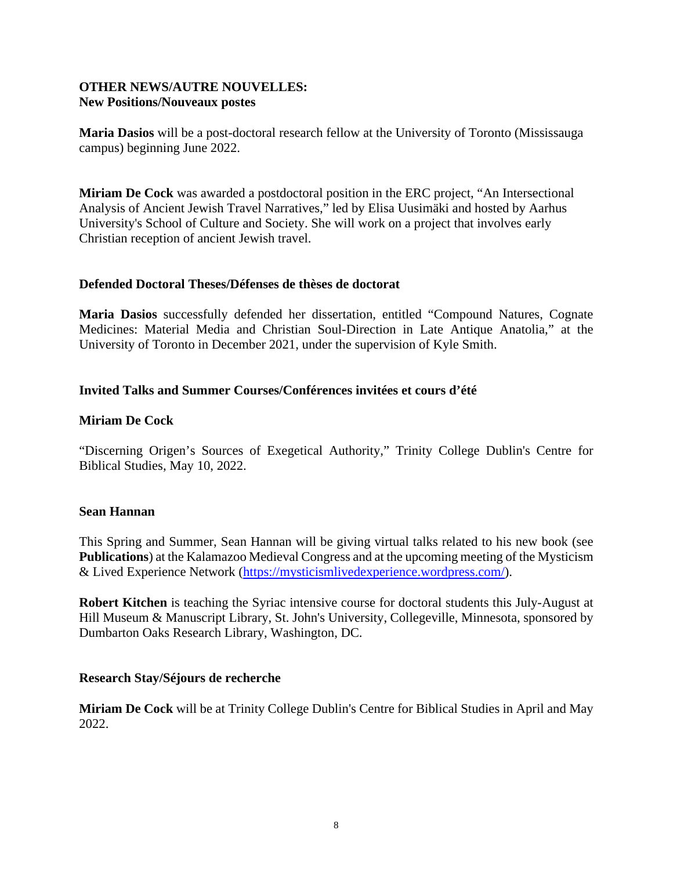# **OTHER NEWS/AUTRE NOUVELLES: New Positions/Nouveaux postes**

**Maria Dasios** will be a post-doctoral research fellow at the University of Toronto (Mississauga campus) beginning June 2022.

**Miriam De Cock** was awarded a postdoctoral position in the ERC project, "An Intersectional Analysis of Ancient Jewish Travel Narratives," led by Elisa Uusimäki and hosted by Aarhus University's School of Culture and Society. She will work on a project that involves early Christian reception of ancient Jewish travel.

#### **Defended Doctoral Theses/Défenses de thèses de doctorat**

**Maria Dasios** successfully defended her dissertation, entitled "Compound Natures, Cognate Medicines: Material Media and Christian Soul-Direction in Late Antique Anatolia," at the University of Toronto in December 2021, under the supervision of Kyle Smith.

#### **Invited Talks and Summer Courses/Conférences invitées et cours d'été**

#### **Miriam De Cock**

"Discerning Origen's Sources of Exegetical Authority," Trinity College Dublin's Centre for Biblical Studies, May 10, 2022.

#### **Sean Hannan**

This Spring and Summer, Sean Hannan will be giving virtual talks related to his new book (see **Publications**) at the Kalamazoo Medieval Congress and at the upcoming meeting of the Mysticism & Lived Experience Network [\(https://mysticismlivedexperience.wordpress.com/\)](https://mysticismlivedexperience.wordpress.com/).

**Robert Kitchen** is teaching the Syriac intensive course for doctoral students this July-August at Hill Museum & Manuscript Library, St. John's University, Collegeville, Minnesota, sponsored by Dumbarton Oaks Research Library, Washington, DC.

#### **Research Stay/Séjours de recherche**

**Miriam De Cock** will be at Trinity College Dublin's Centre for Biblical Studies in April and May 2022.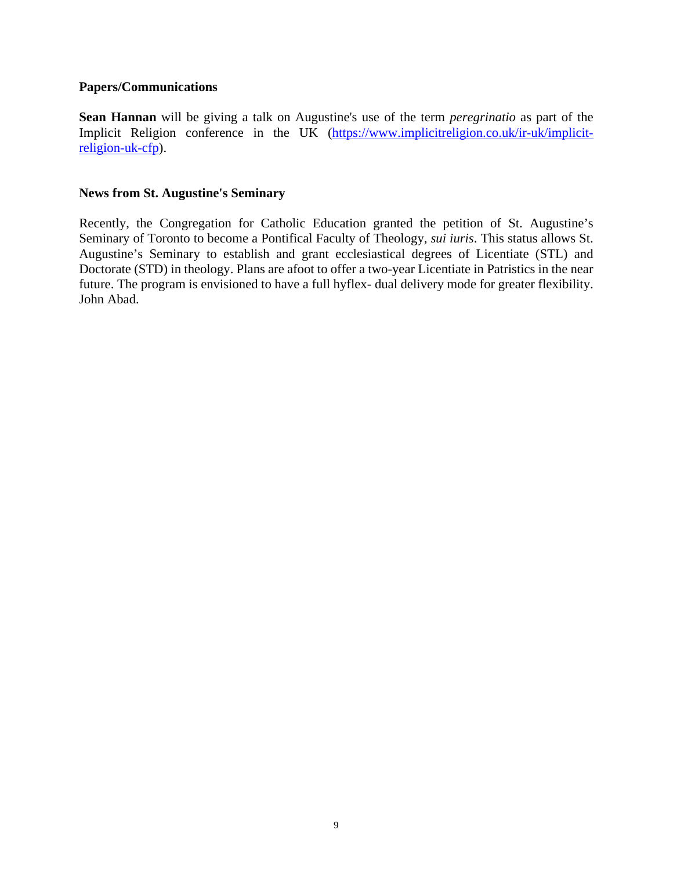#### **Papers/Communications**

**Sean Hannan** will be giving a talk on Augustine's use of the term *peregrinatio* as part of the Implicit Religion conference in the UK [\(https://www.implicitreligion.co.uk/ir-uk/implicit](https://www.implicitreligion.co.uk/ir-uk/implicit-religion-uk-cfp)[religion-uk-cfp\)](https://www.implicitreligion.co.uk/ir-uk/implicit-religion-uk-cfp).

#### **News from St. Augustine's Seminary**

Recently, the Congregation for Catholic Education granted the petition of St. Augustine's Seminary of Toronto to become a Pontifical Faculty of Theology, *sui iuris*. This status allows St. Augustine's Seminary to establish and grant ecclesiastical degrees of Licentiate (STL) and Doctorate (STD) in theology. Plans are afoot to offer a two-year Licentiate in Patristics in the near future. The program is envisioned to have a full hyflex- dual delivery mode for greater flexibility. John Abad.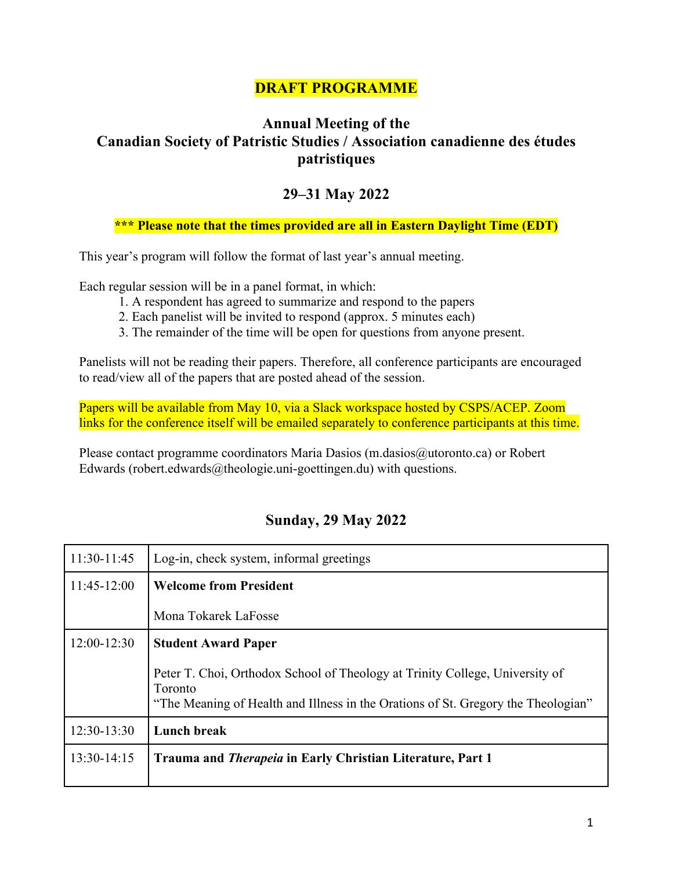# **DRAFT PROGRAMME**

# **Annual Meeting of the Canadian Society of Patristic Studies / Association canadienne des études patristiques**

# **29–31 May 2022**

# **\*\*\* Please note that the times provided are all in Eastern Daylight Time (EDT)**

This year's program will follow the format of last year's annual meeting.

Each regular session will be in a panel format, in which:

- 1. A respondent has agreed to summarize and respond to the papers
- 2. Each panelist will be invited to respond (approx. 5 minutes each)
- 3. The remainder of the time will be open for questions from anyone present.

Panelists will not be reading their papers. Therefore, all conference participants are encouraged to read/view all of the papers that are posted ahead of the session.

Papers will be available from May 10, via a Slack workspace hosted by CSPS/ACEP. Zoom links for the conference itself will be emailed separately to conference participants at this time.

Please contact programme coordinators Maria Dasios (m.dasios@utoronto.ca) or Robert Edwards (robert.edwards $@$ theologie.uni-goettingen.du) with questions.

# **Sunday, 29 May 2022**

| 11:30-11:45   | Log-in, check system, informal greetings                                                                                                                                     |
|---------------|------------------------------------------------------------------------------------------------------------------------------------------------------------------------------|
| $11:45-12:00$ | <b>Welcome from President</b>                                                                                                                                                |
|               | Mona Tokarek LaFosse                                                                                                                                                         |
| $12:00-12:30$ | <b>Student Award Paper</b>                                                                                                                                                   |
|               | Peter T. Choi, Orthodox School of Theology at Trinity College, University of<br>Toronto<br>"The Meaning of Health and Illness in the Orations of St. Gregory the Theologian" |
| $12:30-13:30$ | <b>Lunch break</b>                                                                                                                                                           |
| $13:30-14:15$ | Trauma and <i>Therapeia</i> in Early Christian Literature, Part 1                                                                                                            |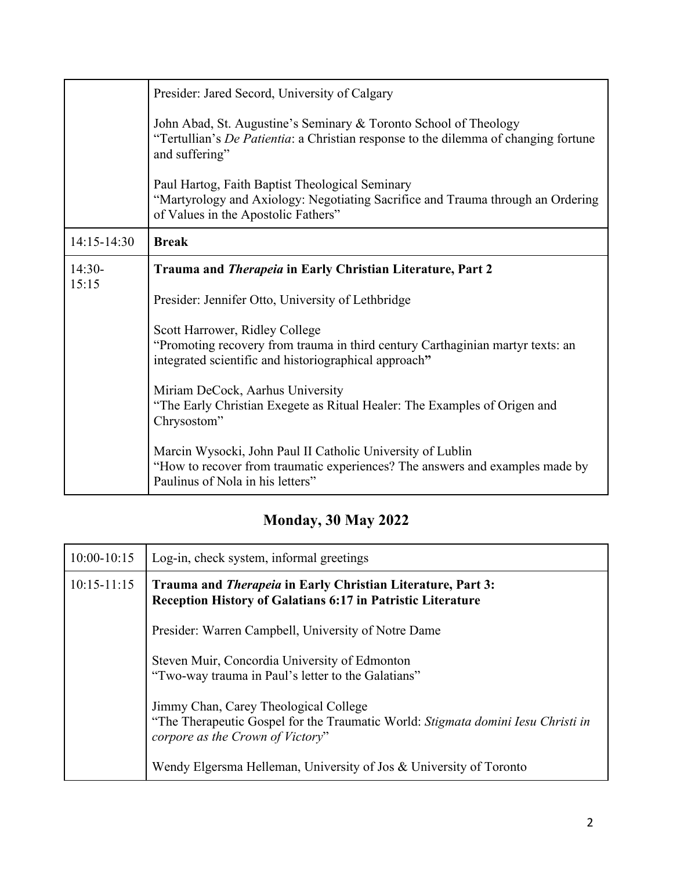|                   | Presider: Jared Secord, University of Calgary<br>John Abad, St. Augustine's Seminary & Toronto School of Theology<br>"Tertullian's <i>De Patientia</i> : a Christian response to the dilemma of changing fortune<br>and suffering"<br>Paul Hartog, Faith Baptist Theological Seminary<br>"Martyrology and Axiology: Negotiating Sacrifice and Trauma through an Ordering<br>of Values in the Apostolic Fathers"                                                                                                                                                                                                |
|-------------------|----------------------------------------------------------------------------------------------------------------------------------------------------------------------------------------------------------------------------------------------------------------------------------------------------------------------------------------------------------------------------------------------------------------------------------------------------------------------------------------------------------------------------------------------------------------------------------------------------------------|
| 14:15-14:30       | <b>Break</b>                                                                                                                                                                                                                                                                                                                                                                                                                                                                                                                                                                                                   |
| $14:30-$<br>15:15 | Trauma and Therapeia in Early Christian Literature, Part 2<br>Presider: Jennifer Otto, University of Lethbridge<br>Scott Harrower, Ridley College<br>"Promoting recovery from trauma in third century Carthaginian martyr texts: an<br>integrated scientific and historiographical approach"<br>Miriam DeCock, Aarhus University<br>"The Early Christian Exegete as Ritual Healer: The Examples of Origen and<br>Chrysostom"<br>Marcin Wysocki, John Paul II Catholic University of Lublin<br>"How to recover from traumatic experiences? The answers and examples made by<br>Paulinus of Nola in his letters" |

# **Monday, 30 May 2022**

| $10:00 - 10:15$ | Log-in, check system, informal greetings                                                                                                                      |
|-----------------|---------------------------------------------------------------------------------------------------------------------------------------------------------------|
| $10:15 - 11:15$ | Trauma and <i>Therapeia</i> in Early Christian Literature, Part 3:<br><b>Reception History of Galatians 6:17 in Patristic Literature</b>                      |
|                 | Presider: Warren Campbell, University of Notre Dame                                                                                                           |
|                 | Steven Muir, Concordia University of Edmonton<br>"Two-way trauma in Paul's letter to the Galatians"                                                           |
|                 | Jimmy Chan, Carey Theological College<br>"The Therapeutic Gospel for the Traumatic World: Stigmata domini Iesu Christi in<br>corpore as the Crown of Victory" |
|                 | Wendy Elgersma Helleman, University of Jos & University of Toronto                                                                                            |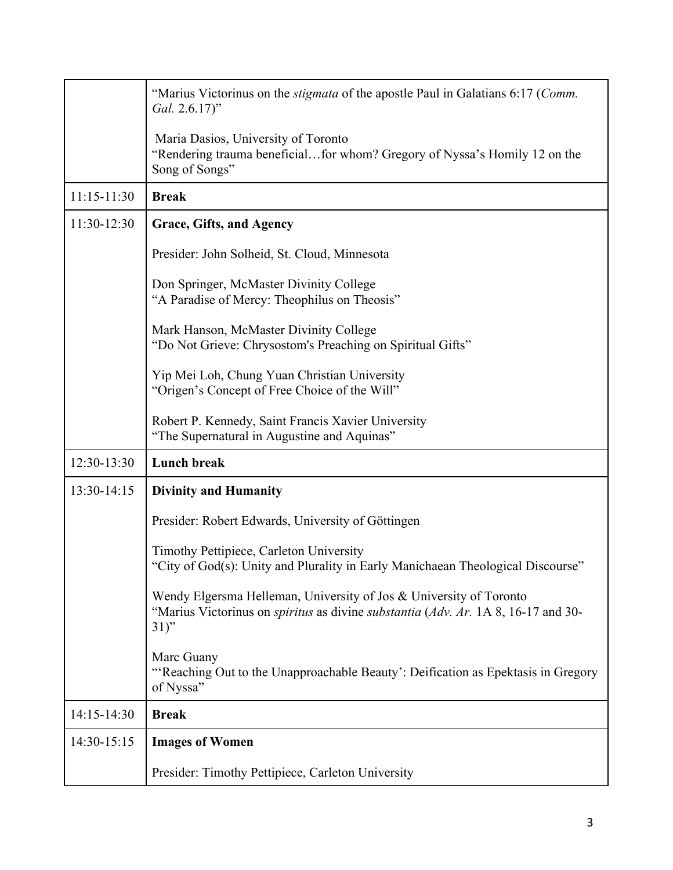|             | "Marius Victorinus on the <i>stigmata</i> of the apostle Paul in Galatians 6:17 (Comm.<br>Gal. 2.6.17)"                                                                          |
|-------------|----------------------------------------------------------------------------------------------------------------------------------------------------------------------------------|
|             | Maria Dasios, University of Toronto<br>"Rendering trauma beneficialfor whom? Gregory of Nyssa's Homily 12 on the<br>Song of Songs"                                               |
| 11:15-11:30 | <b>Break</b>                                                                                                                                                                     |
| 11:30-12:30 | Grace, Gifts, and Agency                                                                                                                                                         |
|             | Presider: John Solheid, St. Cloud, Minnesota                                                                                                                                     |
|             | Don Springer, McMaster Divinity College<br>"A Paradise of Mercy: Theophilus on Theosis"                                                                                          |
|             | Mark Hanson, McMaster Divinity College<br>"Do Not Grieve: Chrysostom's Preaching on Spiritual Gifts"                                                                             |
|             | Yip Mei Loh, Chung Yuan Christian University<br>"Origen's Concept of Free Choice of the Will"                                                                                    |
|             | Robert P. Kennedy, Saint Francis Xavier University<br>"The Supernatural in Augustine and Aquinas"                                                                                |
| 12:30-13:30 | <b>Lunch break</b>                                                                                                                                                               |
| 13:30-14:15 | <b>Divinity and Humanity</b>                                                                                                                                                     |
|             | Presider: Robert Edwards, University of Göttingen                                                                                                                                |
|             | Timothy Pettipiece, Carleton University<br>"City of God(s): Unity and Plurality in Early Manichaean Theological Discourse"                                                       |
|             | Wendy Elgersma Helleman, University of Jos & University of Toronto<br>"Marius Victorinus on <i>spiritus</i> as divine <i>substantia</i> (Adv. Ar. 1A 8, 16-17 and 30-<br>$31)$ " |
|             | Marc Guany<br>"'Reaching Out to the Unapproachable Beauty': Deification as Epektasis in Gregory<br>of Nyssa"                                                                     |
| 14:15-14:30 | <b>Break</b>                                                                                                                                                                     |
| 14:30-15:15 | <b>Images of Women</b>                                                                                                                                                           |
|             | Presider: Timothy Pettipiece, Carleton University                                                                                                                                |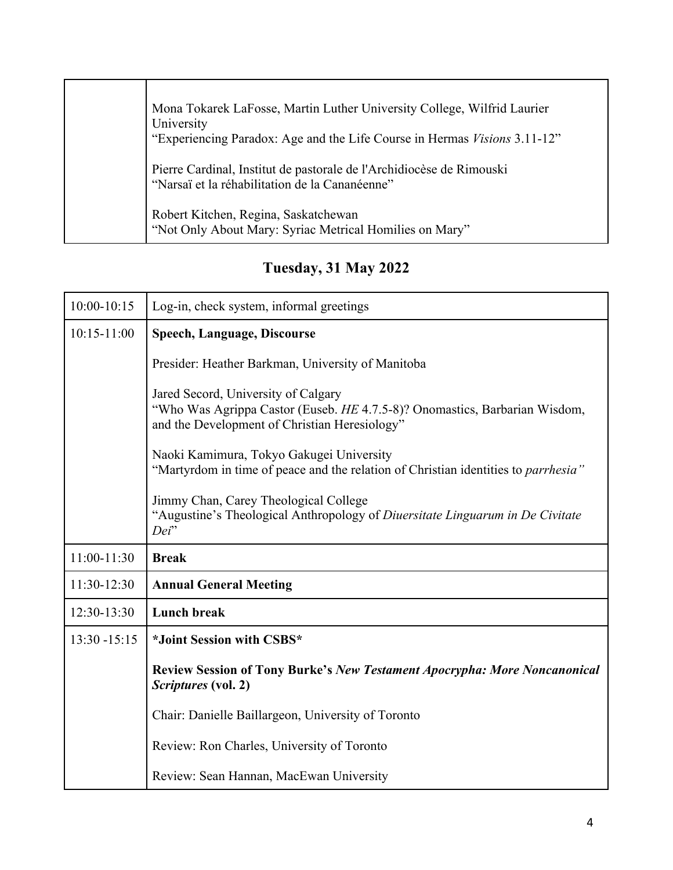| Mona Tokarek LaFosse, Martin Luther University College, Wilfrid Laurier<br>University                                  |
|------------------------------------------------------------------------------------------------------------------------|
| "Experiencing Paradox: Age and the Life Course in Hermas Visions 3.11-12"                                              |
| Pierre Cardinal, Institut de pastorale de l'Archidiocèse de Rimouski<br>"Narsaï et la réhabilitation de la Cananéenne" |
| Robert Kitchen, Regina, Saskatchewan<br>"Not Only About Mary: Syriac Metrical Homilies on Mary"                        |

**Tuesday, 31 May 2022**

| $10:00 - 10:15$ | Log-in, check system, informal greetings                                                                                                                           |
|-----------------|--------------------------------------------------------------------------------------------------------------------------------------------------------------------|
| $10:15 - 11:00$ | <b>Speech, Language, Discourse</b>                                                                                                                                 |
|                 | Presider: Heather Barkman, University of Manitoba                                                                                                                  |
|                 | Jared Secord, University of Calgary<br>"Who Was Agrippa Castor (Euseb. HE 4.7.5-8)? Onomastics, Barbarian Wisdom,<br>and the Development of Christian Heresiology" |
|                 | Naoki Kamimura, Tokyo Gakugei University<br>"Martyrdom in time of peace and the relation of Christian identities to <i>parrhesia</i> "                             |
|                 | Jimmy Chan, Carey Theological College<br>"Augustine's Theological Anthropology of Diuersitate Linguarum in De Civitate<br>Dei"                                     |
| 11:00-11:30     | <b>Break</b>                                                                                                                                                       |
| 11:30-12:30     | <b>Annual General Meeting</b>                                                                                                                                      |
| 12:30-13:30     | <b>Lunch break</b>                                                                                                                                                 |
| $13:30 - 15:15$ | *Joint Session with CSBS*                                                                                                                                          |
|                 | <b>Review Session of Tony Burke's New Testament Apocrypha: More Noncanonical</b><br>Scriptures (vol. 2)                                                            |
|                 | Chair: Danielle Baillargeon, University of Toronto                                                                                                                 |
|                 | Review: Ron Charles, University of Toronto                                                                                                                         |
|                 | Review: Sean Hannan, MacEwan University                                                                                                                            |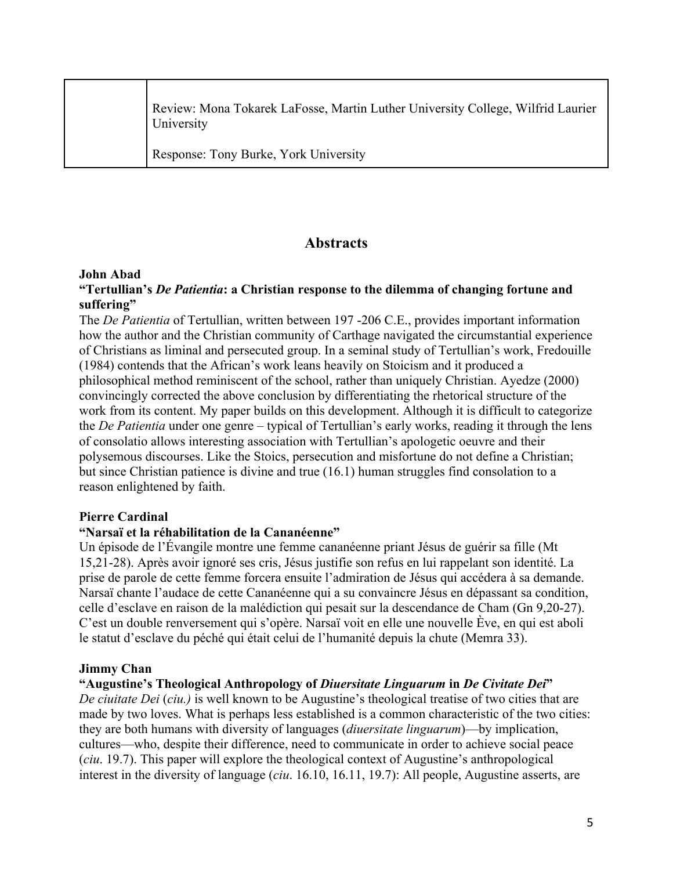| Review: Mona Tokarek LaFosse, Martin Luther University College, Wilfrid Laurier<br>University |
|-----------------------------------------------------------------------------------------------|
| Response: Tony Burke, York University                                                         |

# **Abstracts**

# **John Abad**

# **"Tertullian's** *De Patientia***: a Christian response to the dilemma of changing fortune and suffering"**

The *De Patientia* of Tertullian, written between 197 -206 C.E., provides important information how the author and the Christian community of Carthage navigated the circumstantial experience of Christians as liminal and persecuted group. In a seminal study of Tertullian's work, Fredouille (1984) contends that the African's work leans heavily on Stoicism and it produced a philosophical method reminiscent of the school, rather than uniquely Christian. Ayedze (2000) convincingly corrected the above conclusion by differentiating the rhetorical structure of the work from its content. My paper builds on this development. Although it is difficult to categorize the *De Patientia* under one genre – typical of Tertullian's early works, reading it through the lens of consolatio allows interesting association with Tertullian's apologetic oeuvre and their polysemous discourses. Like the Stoics, persecution and misfortune do not define a Christian; but since Christian patience is divine and true (16.1) human struggles find consolation to a reason enlightened by faith.

#### **Pierre Cardinal**

# **"Narsaï et la réhabilitation de la Cananéenne"**

Un épisode de l'Évangile montre une femme cananéenne priant Jésus de guérir sa fille (Mt 15,21-28). Après avoir ignoré ses cris, Jésus justifie son refus en lui rappelant son identité. La prise de parole de cette femme forcera ensuite l'admiration de Jésus qui accédera à sa demande. Narsaï chante l'audace de cette Cananéenne qui a su convaincre Jésus en dépassant sa condition, celle d'esclave en raison de la malédiction qui pesait sur la descendance de Cham (Gn 9,20-27). C'est un double renversement qui s'opère. Narsaï voit en elle une nouvelle Ève, en qui est aboli le statut d'esclave du péché qui était celui de l'humanité depuis la chute (Memra 33).

#### **Jimmy Chan**

# **"Augustine's Theological Anthropology of** *Diuersitate Linguarum* **in** *De Civitate Dei***"**

*De ciuitate Dei* (*ciu.)* is well known to be Augustine's theological treatise of two cities that are made by two loves. What is perhaps less established is a common characteristic of the two cities: they are both humans with diversity of languages (*diuersitate linguarum*)—by implication, cultures—who, despite their difference, need to communicate in order to achieve social peace (*ciu*. 19.7). This paper will explore the theological context of Augustine's anthropological interest in the diversity of language (*ciu*. 16.10, 16.11, 19.7): All people, Augustine asserts, are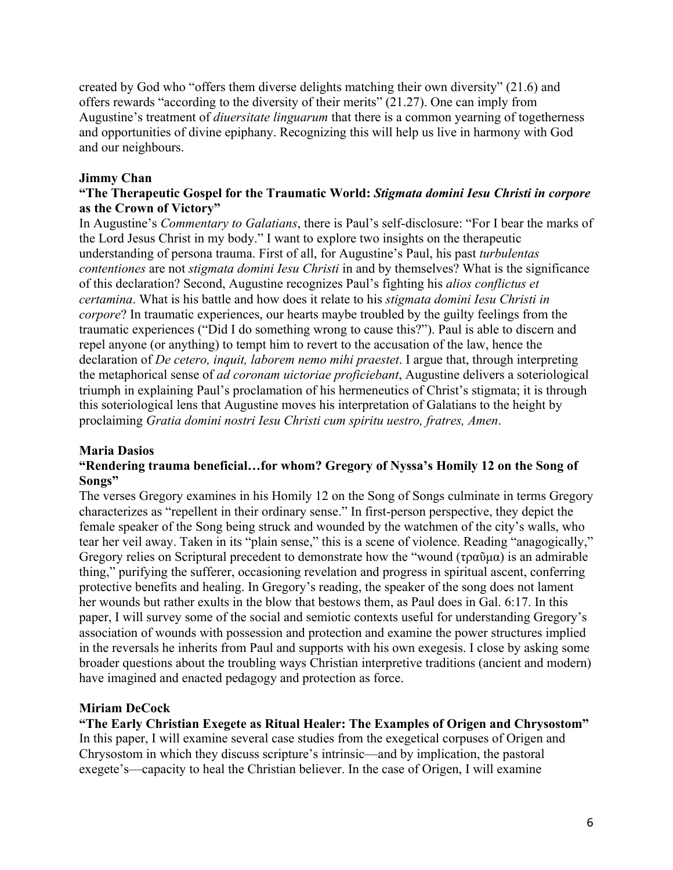created by God who "offers them diverse delights matching their own diversity" (21.6) and offers rewards "according to the diversity of their merits" (21.27). One can imply from Augustine's treatment of *diuersitate linguarum* that there is a common yearning of togetherness and opportunities of divine epiphany. Recognizing this will help us live in harmony with God and our neighbours.

# **Jimmy Chan**

# **"The Therapeutic Gospel for the Traumatic World:** *Stigmata domini Iesu Christi in corpore* **as the Crown of Victory"**

In Augustine's *Commentary to Galatians*, there is Paul's self-disclosure: "For I bear the marks of the Lord Jesus Christ in my body." I want to explore two insights on the therapeutic understanding of persona trauma. First of all, for Augustine's Paul, his past *turbulentas contentiones* are not *stigmata domini Iesu Christi* in and by themselves? What is the significance of this declaration? Second, Augustine recognizes Paul's fighting his *alios conflictus et certamina*. What is his battle and how does it relate to his *stigmata domini Iesu Christi in corpore*? In traumatic experiences, our hearts maybe troubled by the guilty feelings from the traumatic experiences ("Did I do something wrong to cause this?"). Paul is able to discern and repel anyone (or anything) to tempt him to revert to the accusation of the law, hence the declaration of *De cetero, inquit, laborem nemo mihi praestet*. I argue that, through interpreting the metaphorical sense of *ad coronam uictoriae proficiebant*, Augustine delivers a soteriological triumph in explaining Paul's proclamation of his hermeneutics of Christ's stigmata; it is through this soteriological lens that Augustine moves his interpretation of Galatians to the height by proclaiming *Gratia domini nostri Iesu Christi cum spiritu uestro, fratres, Amen*.

# **Maria Dasios**

# **"Rendering trauma beneficial…for whom? Gregory of Nyssa's Homily 12 on the Song of Songs"**

The verses Gregory examines in his Homily 12 on the Song of Songs culminate in terms Gregory characterizes as "repellent in their ordinary sense." In first-person perspective, they depict the female speaker of the Song being struck and wounded by the watchmen of the city's walls, who tear her veil away. Taken in its "plain sense," this is a scene of violence. Reading "anagogically," Gregory relies on Scriptural precedent to demonstrate how the "wound (τραῦμα) is an admirable thing," purifying the sufferer, occasioning revelation and progress in spiritual ascent, conferring protective benefits and healing. In Gregory's reading, the speaker of the song does not lament her wounds but rather exults in the blow that bestows them, as Paul does in Gal. 6:17. In this paper, I will survey some of the social and semiotic contexts useful for understanding Gregory's association of wounds with possession and protection and examine the power structures implied in the reversals he inherits from Paul and supports with his own exegesis. I close by asking some broader questions about the troubling ways Christian interpretive traditions (ancient and modern) have imagined and enacted pedagogy and protection as force.

# **Miriam DeCock**

**"The Early Christian Exegete as Ritual Healer: The Examples of Origen and Chrysostom"** In this paper, I will examine several case studies from the exegetical corpuses of Origen and Chrysostom in which they discuss scripture's intrinsic—and by implication, the pastoral exegete's—capacity to heal the Christian believer. In the case of Origen, I will examine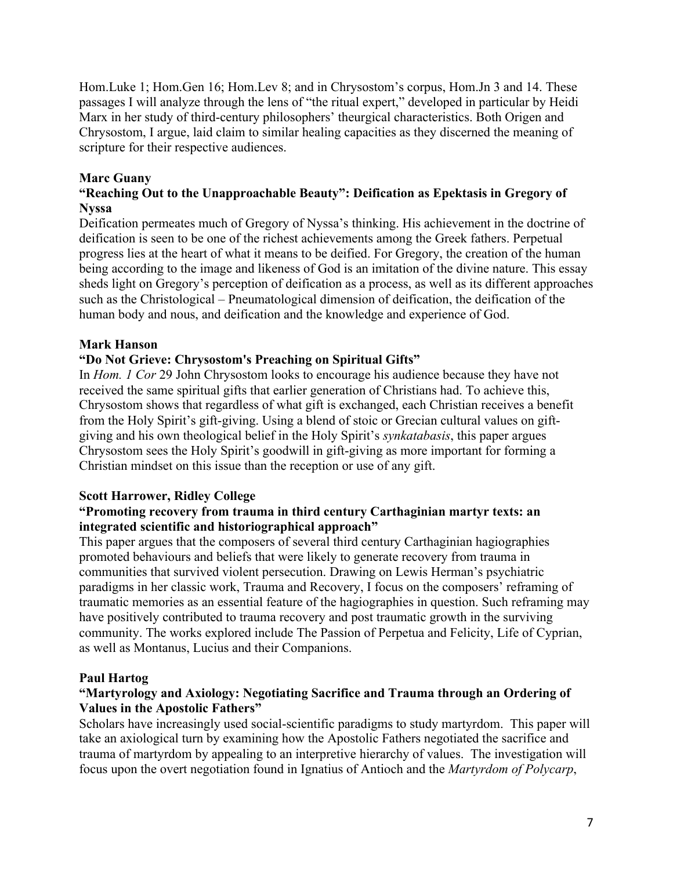Hom.Luke 1; Hom.Gen 16; Hom.Lev 8; and in Chrysostom's corpus, Hom.Jn 3 and 14. These passages I will analyze through the lens of "the ritual expert," developed in particular by Heidi Marx in her study of third-century philosophers' theurgical characteristics. Both Origen and Chrysostom, I argue, laid claim to similar healing capacities as they discerned the meaning of scripture for their respective audiences.

# **Marc Guany**

# **"Reaching Out to the Unapproachable Beauty": Deification as Epektasis in Gregory of Nyssa**

Deification permeates much of Gregory of Nyssa's thinking. His achievement in the doctrine of deification is seen to be one of the richest achievements among the Greek fathers. Perpetual progress lies at the heart of what it means to be deified. For Gregory, the creation of the human being according to the image and likeness of God is an imitation of the divine nature. This essay sheds light on Gregory's perception of deification as a process, as well as its different approaches such as the Christological – Pneumatological dimension of deification, the deification of the human body and nous, and deification and the knowledge and experience of God.

# **Mark Hanson**

# **"Do Not Grieve: Chrysostom's Preaching on Spiritual Gifts"**

In *Hom. 1 Cor* 29 John Chrysostom looks to encourage his audience because they have not received the same spiritual gifts that earlier generation of Christians had. To achieve this, Chrysostom shows that regardless of what gift is exchanged, each Christian receives a benefit from the Holy Spirit's gift-giving. Using a blend of stoic or Grecian cultural values on giftgiving and his own theological belief in the Holy Spirit's *synkatabasis*, this paper argues Chrysostom sees the Holy Spirit's goodwill in gift-giving as more important for forming a Christian mindset on this issue than the reception or use of any gift.

#### **Scott Harrower, Ridley College**

## **"Promoting recovery from trauma in third century Carthaginian martyr texts: an integrated scientific and historiographical approach"**

This paper argues that the composers of several third century Carthaginian hagiographies promoted behaviours and beliefs that were likely to generate recovery from trauma in communities that survived violent persecution. Drawing on Lewis Herman's psychiatric paradigms in her classic work, Trauma and Recovery, I focus on the composers' reframing of traumatic memories as an essential feature of the hagiographies in question. Such reframing may have positively contributed to trauma recovery and post traumatic growth in the surviving community. The works explored include The Passion of Perpetua and Felicity, Life of Cyprian, as well as Montanus, Lucius and their Companions.

#### **Paul Hartog**

# **"Martyrology and Axiology: Negotiating Sacrifice and Trauma through an Ordering of Values in the Apostolic Fathers"**

Scholars have increasingly used social-scientific paradigms to study martyrdom. This paper will take an axiological turn by examining how the Apostolic Fathers negotiated the sacrifice and trauma of martyrdom by appealing to an interpretive hierarchy of values. The investigation will focus upon the overt negotiation found in Ignatius of Antioch and the *Martyrdom of Polycarp*,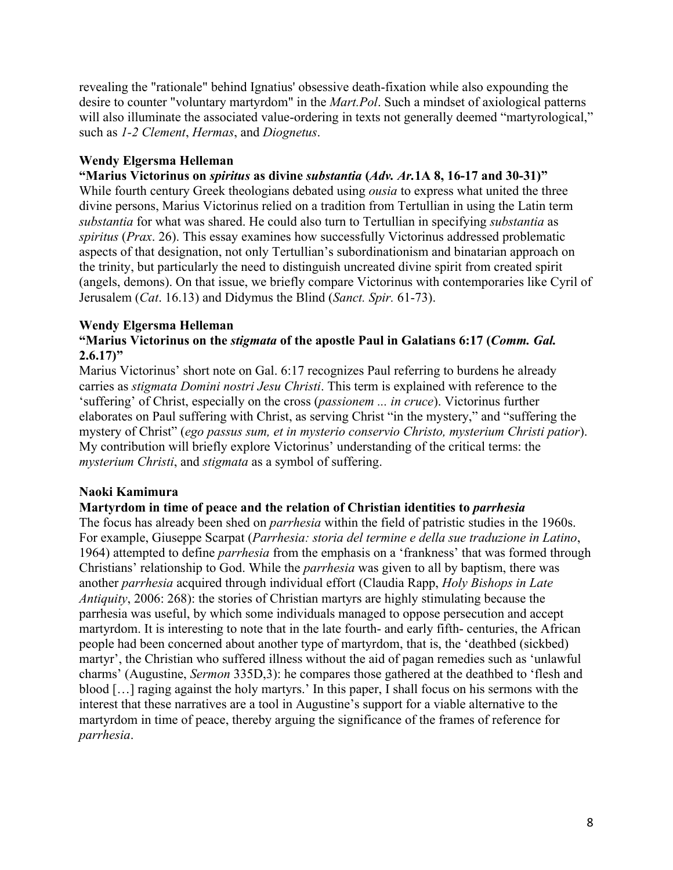revealing the "rationale" behind Ignatius' obsessive death-fixation while also expounding the desire to counter "voluntary martyrdom" in the *Mart.Pol*. Such a mindset of axiological patterns will also illuminate the associated value-ordering in texts not generally deemed "martyrological," such as *1-2 Clement*, *Hermas*, and *Diognetus*.

# **Wendy Elgersma Helleman**

# **"Marius Victorinus on** *spiritus* **as divine** *substantia* **(***Adv. Ar.***1A 8, 16-17 and 30-31)"**

While fourth century Greek theologians debated using *ousia* to express what united the three divine persons, Marius Victorinus relied on a tradition from Tertullian in using the Latin term *substantia* for what was shared. He could also turn to Tertullian in specifying *substantia* as *spiritus* (*Prax*. 26). This essay examines how successfully Victorinus addressed problematic aspects of that designation, not only Tertullian's subordinationism and binatarian approach on the trinity, but particularly the need to distinguish uncreated divine spirit from created spirit (angels, demons). On that issue, we briefly compare Victorinus with contemporaries like Cyril of Jerusalem (*Cat*. 16.13) and Didymus the Blind (*Sanct. Spir.* 61-73).

# **Wendy Elgersma Helleman**

## **"Marius Victorinus on the** *stigmata* **of the apostle Paul in Galatians 6:17 (***Comm. Gal.* **2.6.17)"**

Marius Victorinus' short note on Gal. 6:17 recognizes Paul referring to burdens he already carries as *stigmata Domini nostri Jesu Christi*. This term is explained with reference to the 'suffering' of Christ, especially on the cross (*passionem ... in cruce*). Victorinus further elaborates on Paul suffering with Christ, as serving Christ "in the mystery," and "suffering the mystery of Christ" (*ego passus sum, et in mysterio conservio Christo, mysterium Christi patior*). My contribution will briefly explore Victorinus' understanding of the critical terms: the *mysterium Christi*, and *stigmata* as a symbol of suffering.

# **Naoki Kamimura**

# **Martyrdom in time of peace and the relation of Christian identities to** *parrhesia*

The focus has already been shed on *parrhesia* within the field of patristic studies in the 1960s. For example, Giuseppe Scarpat (*Parrhesia: storia del termine e della sue traduzione in Latino*, 1964) attempted to define *parrhesia* from the emphasis on a 'frankness' that was formed through Christians' relationship to God. While the *parrhesia* was given to all by baptism, there was another *parrhesia* acquired through individual effort (Claudia Rapp, *Holy Bishops in Late Antiquity*, 2006: 268): the stories of Christian martyrs are highly stimulating because the parrhesia was useful, by which some individuals managed to oppose persecution and accept martyrdom. It is interesting to note that in the late fourth- and early fifth- centuries, the African people had been concerned about another type of martyrdom, that is, the 'deathbed (sickbed) martyr', the Christian who suffered illness without the aid of pagan remedies such as 'unlawful charms' (Augustine, *Sermon* 335D,3): he compares those gathered at the deathbed to 'flesh and blood […] raging against the holy martyrs.' In this paper, I shall focus on his sermons with the interest that these narratives are a tool in Augustine's support for a viable alternative to the martyrdom in time of peace, thereby arguing the significance of the frames of reference for *parrhesia*.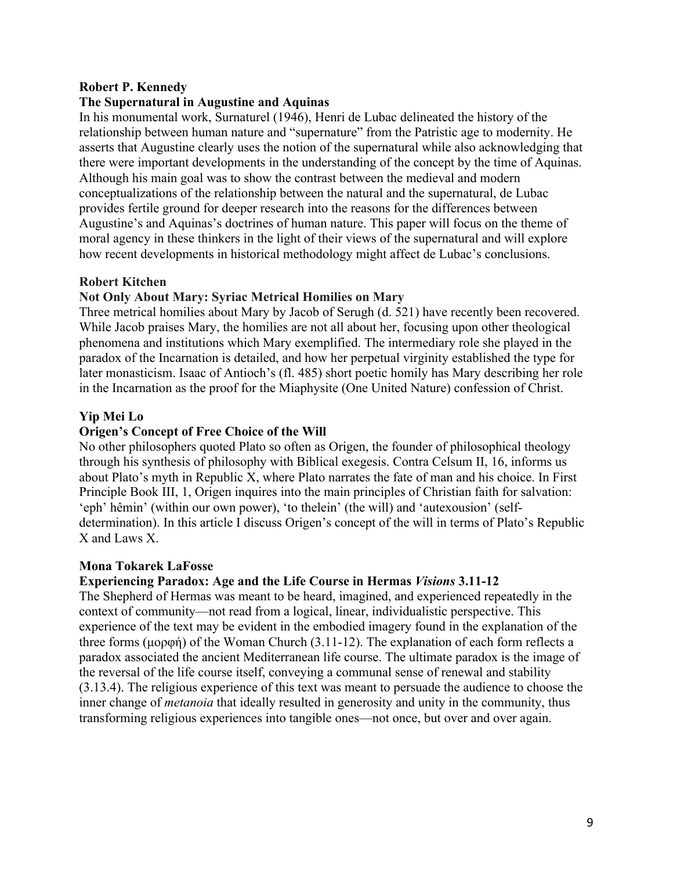#### **Robert P. Kennedy**

#### **The Supernatural in Augustine and Aquinas**

In his monumental work, Surnaturel (1946), Henri de Lubac delineated the history of the relationship between human nature and "supernature" from the Patristic age to modernity. He asserts that Augustine clearly uses the notion of the supernatural while also acknowledging that there were important developments in the understanding of the concept by the time of Aquinas. Although his main goal was to show the contrast between the medieval and modern conceptualizations of the relationship between the natural and the supernatural, de Lubac provides fertile ground for deeper research into the reasons for the differences between Augustine's and Aquinas's doctrines of human nature. This paper will focus on the theme of moral agency in these thinkers in the light of their views of the supernatural and will explore how recent developments in historical methodology might affect de Lubac's conclusions.

#### **Robert Kitchen**

#### **Not Only About Mary: Syriac Metrical Homilies on Mary**

Three metrical homilies about Mary by Jacob of Serugh (d. 521) have recently been recovered. While Jacob praises Mary, the homilies are not all about her, focusing upon other theological phenomena and institutions which Mary exemplified. The intermediary role she played in the paradox of the Incarnation is detailed, and how her perpetual virginity established the type for later monasticism. Isaac of Antioch's (fl. 485) short poetic homily has Mary describing her role in the Incarnation as the proof for the Miaphysite (One United Nature) confession of Christ.

#### **Yip Mei Lo**

#### **Origen's Concept of Free Choice of the Will**

No other philosophers quoted Plato so often as Origen, the founder of philosophical theology through his synthesis of philosophy with Biblical exegesis. Contra Celsum II, 16, informs us about Plato's myth in Republic X, where Plato narrates the fate of man and his choice. In First Principle Book III, 1, Origen inquires into the main principles of Christian faith for salvation: 'eph' hêmin' (within our own power), 'to thelein' (the will) and 'autexousion' (selfdetermination). In this article I discuss Origen's concept of the will in terms of Plato's Republic X and Laws X.

#### **Mona Tokarek LaFosse**

#### **Experiencing Paradox: Age and the Life Course in Hermas** *Visions* **3.11-12**

The Shepherd of Hermas was meant to be heard, imagined, and experienced repeatedly in the context of community—not read from a logical, linear, individualistic perspective. This experience of the text may be evident in the embodied imagery found in the explanation of the three forms (μορφή) of the Woman Church (3.11-12). The explanation of each form reflects a paradox associated the ancient Mediterranean life course. The ultimate paradox is the image of the reversal of the life course itself, conveying a communal sense of renewal and stability (3.13.4). The religious experience of this text was meant to persuade the audience to choose the inner change of *metanoia* that ideally resulted in generosity and unity in the community, thus transforming religious experiences into tangible ones—not once, but over and over again.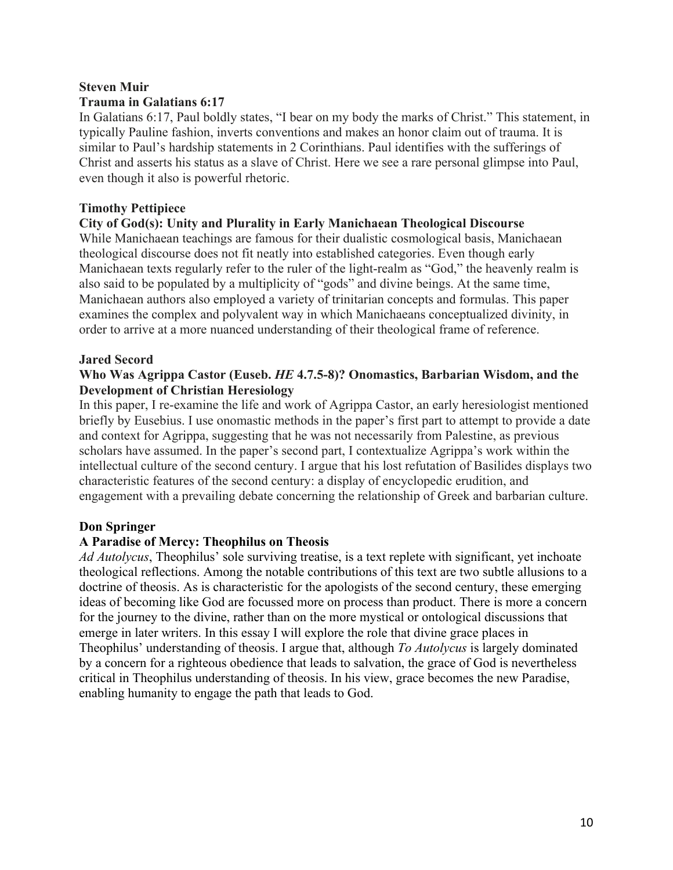# **Steven Muir Trauma in Galatians 6:17**

In Galatians 6:17, Paul boldly states, "I bear on my body the marks of Christ." This statement, in typically Pauline fashion, inverts conventions and makes an honor claim out of trauma. It is similar to Paul's hardship statements in 2 Corinthians. Paul identifies with the sufferings of Christ and asserts his status as a slave of Christ. Here we see a rare personal glimpse into Paul, even though it also is powerful rhetoric.

# **Timothy Pettipiece**

# **City of God(s): Unity and Plurality in Early Manichaean Theological Discourse**

While Manichaean teachings are famous for their dualistic cosmological basis, Manichaean theological discourse does not fit neatly into established categories. Even though early Manichaean texts regularly refer to the ruler of the light-realm as "God," the heavenly realm is also said to be populated by a multiplicity of "gods" and divine beings. At the same time, Manichaean authors also employed a variety of trinitarian concepts and formulas. This paper examines the complex and polyvalent way in which Manichaeans conceptualized divinity, in order to arrive at a more nuanced understanding of their theological frame of reference.

# **Jared Secord**

# **Who Was Agrippa Castor (Euseb.** *HE* **4.7.5-8)? Onomastics, Barbarian Wisdom, and the Development of Christian Heresiology**

In this paper, I re-examine the life and work of Agrippa Castor, an early heresiologist mentioned briefly by Eusebius. I use onomastic methods in the paper's first part to attempt to provide a date and context for Agrippa, suggesting that he was not necessarily from Palestine, as previous scholars have assumed. In the paper's second part, I contextualize Agrippa's work within the intellectual culture of the second century. I argue that his lost refutation of Basilides displays two characteristic features of the second century: a display of encyclopedic erudition, and engagement with a prevailing debate concerning the relationship of Greek and barbarian culture.

# **Don Springer**

# **A Paradise of Mercy: Theophilus on Theosis**

*Ad Autolycus*, Theophilus' sole surviving treatise, is a text replete with significant, yet inchoate theological reflections. Among the notable contributions of this text are two subtle allusions to a doctrine of theosis. As is characteristic for the apologists of the second century, these emerging ideas of becoming like God are focussed more on process than product. There is more a concern for the journey to the divine, rather than on the more mystical or ontological discussions that emerge in later writers. In this essay I will explore the role that divine grace places in Theophilus' understanding of theosis. I argue that, although *To Autolycus* is largely dominated by a concern for a righteous obedience that leads to salvation, the grace of God is nevertheless critical in Theophilus understanding of theosis. In his view, grace becomes the new Paradise, enabling humanity to engage the path that leads to God.